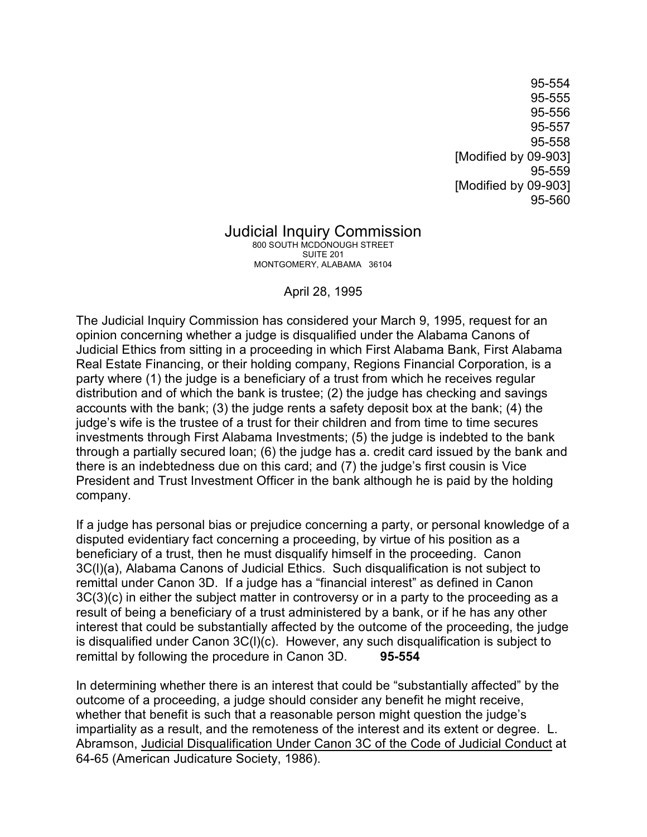95-554 95-555 95-556 95-557 95-558 [Modified by 09-903] 95-559 [Modified by 09-903] 95-560

## Judicial Inquiry Commission

800 SOUTH MCDONOUGH STREET SUITE 201 MONTGOMERY, ALABAMA 36104

April 28, 1995

The Judicial Inquiry Commission has considered your March 9, 1995, request for an opinion concerning whether a judge is disqualified under the Alabama Canons of Judicial Ethics from sitting in a proceeding in which First Alabama Bank, First Alabama Real Estate Financing, or their holding company, Regions Financial Corporation, is a party where (1) the judge is a beneficiary of a trust from which he receives regular distribution and of which the bank is trustee; (2) the judge has checking and savings accounts with the bank; (3) the judge rents a safety deposit box at the bank; (4) the judge's wife is the trustee of a trust for their children and from time to time secures investments through First Alabama Investments; (5) the judge is indebted to the bank through a partially secured loan; (6) the judge has a. credit card issued by the bank and there is an indebtedness due on this card; and (7) the judge's first cousin is Vice President and Trust Investment Officer in the bank although he is paid by the holding company.

If a judge has personal bias or prejudice concerning a party, or personal knowledge of a disputed evidentiary fact concerning a proceeding, by virtue of his position as a beneficiary of a trust, then he must disqualify himself in the proceeding. Canon 3C(l)(a), Alabama Canons of Judicial Ethics. Such disqualification is not subject to remittal under Canon 3D. If a judge has a "financial interest" as defined in Canon 3C(3)(c) in either the subject matter in controversy or in a party to the proceeding as a result of being a beneficiary of a trust administered by a bank, or if he has any other interest that could be substantially affected by the outcome of the proceeding, the judge is disqualified under Canon 3C(l)(c). However, any such disqualification is subject to remittal by following the procedure in Canon 3D. **95-554**

In determining whether there is an interest that could be "substantially affected" by the outcome of a proceeding, a judge should consider any benefit he might receive, whether that benefit is such that a reasonable person might question the judge's impartiality as a result, and the remoteness of the interest and its extent or degree. L. Abramson, Judicial Disqualification Under Canon 3C of the Code of Judicial Conduct at 64-65 (American Judicature Society, 1986).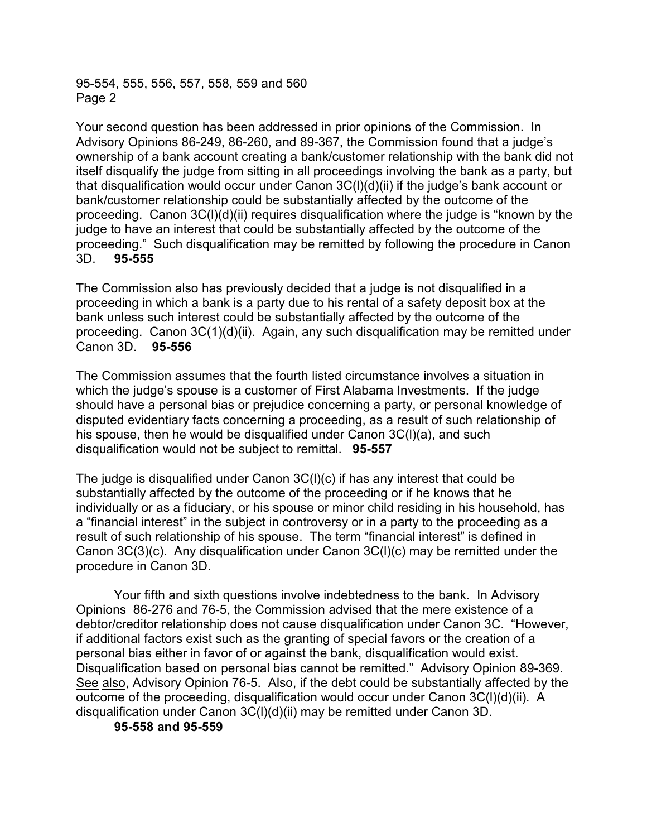95-554, 555, 556, 557, 558, 559 and 560 Page 2

Your second question has been addressed in prior opinions of the Commission. In Advisory Opinions 86-249, 86-260, and 89-367, the Commission found that a judge's ownership of a bank account creating a bank/customer relationship with the bank did not itself disqualify the judge from sitting in all proceedings involving the bank as a party, but that disqualification would occur under Canon 3C(l)(d)(ii) if the judge's bank account or bank/customer relationship could be substantially affected by the outcome of the proceeding. Canon 3C(l)(d)(ii) requires disqualification where the judge is "known by the judge to have an interest that could be substantially affected by the outcome of the proceeding." Such disqualification may be remitted by following the procedure in Canon 3D. **95-555** 

The Commission also has previously decided that a judge is not disqualified in a proceeding in which a bank is a party due to his rental of a safety deposit box at the bank unless such interest could be substantially affected by the outcome of the proceeding. Canon 3C(1)(d)(ii). Again, any such disqualification may be remitted under Canon 3D. **95-556**

The Commission assumes that the fourth listed circumstance involves a situation in which the judge's spouse is a customer of First Alabama Investments. If the judge should have a personal bias or prejudice concerning a party, or personal knowledge of disputed evidentiary facts concerning a proceeding, as a result of such relationship of his spouse, then he would be disqualified under Canon 3C(l)(a), and such disqualification would not be subject to remittal. **95-557** 

The judge is disqualified under Canon 3C(l)(c) if has any interest that could be substantially affected by the outcome of the proceeding or if he knows that he individually or as a fiduciary, or his spouse or minor child residing in his household, has a "financial interest" in the subject in controversy or in a party to the proceeding as a result of such relationship of his spouse. The term "financial interest" is defined in Canon 3C(3)(c). Any disqualification under Canon 3C(l)(c) may be remitted under the procedure in Canon 3D.

Your fifth and sixth questions involve indebtedness to the bank. In Advisory Opinions 86-276 and 76-5, the Commission advised that the mere existence of a debtor/creditor relationship does not cause disqualification under Canon 3C. "However, if additional factors exist such as the granting of special favors or the creation of a personal bias either in favor of or against the bank, disqualification would exist. Disqualification based on personal bias cannot be remitted." Advisory Opinion 89-369. See also, Advisory Opinion 76-5. Also, if the debt could be substantially affected by the outcome of the proceeding, disqualification would occur under Canon 3C(l)(d)(ii). A disqualification under Canon 3C(l)(d)(ii) may be remitted under Canon 3D.

**95-558 and 95-559**